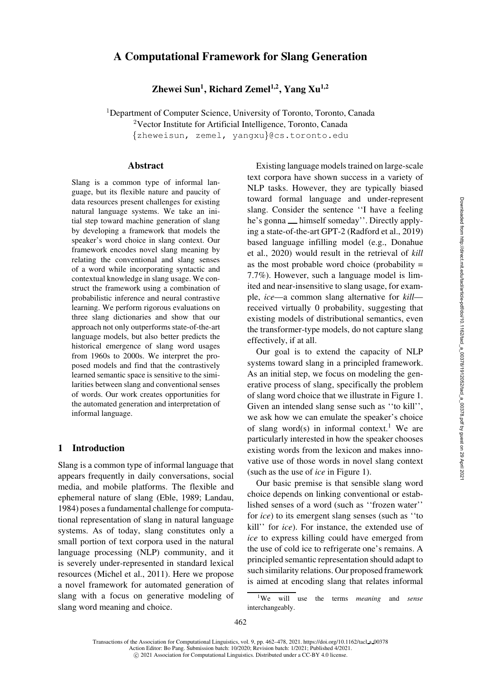# A Computational Framework for Slang Generation

Zhewei Sun<sup>1</sup>, Richard Zemel<sup>1,2</sup>, Yang Xu<sup>1,2</sup>

<sup>1</sup>Department of Computer Science, University of Toronto, Toronto, Canada <sup>2</sup>Vector Institute for Artificial Intelligence, Toronto, Canada {[zheweisun,](mailto:zheweisun@cs.toronto.edu) [zemel,](mailto:zemel@cs.toronto.edu) [yangxu](mailto:yangxu@cs.toronto.edu)}@cs.toronto.edu

## Abstract

Slang is a common type of informal language, but its flexible nature and paucity of data resources present challenges for existing natural language systems. We take an initial step toward machine generation of slang by developing a framework that models the speaker's word choice in slang context. Our framework encodes novel slang meaning by relating the conventional and slang senses of a word while incorporating syntactic and contextual knowledge in slang usage. We construct the framework using a combination of probabilistic inference and neural contrastive learning. We perform rigorous evaluations on three slang dictionaries and show that our approach not only outperforms state-of-the-art language models, but also better predicts the historical emergence of slang word usages from 1960s to 2000s. We interpret the proposed models and find that the contrastively learned semantic space is sensitive to the similarities between slang and conventional senses of words. Our work creates opportunities for the automated generation and interpretation of informal language.

# 1 Introduction

Slang is a common type of informal language that appears frequently in daily conversations, social media, and mobile platforms. The flexible and ephemeral nature of slang [\(Eble](#page-13-0), [1989](#page-13-0); [Landau,](#page-14-0) [1984](#page-14-0)) poses a fundamental challenge for computational representation of slang in natural language systems. As of today, slang constitutes only a small portion of text corpora used in the natural language processing (NLP) community, and it is severely under-represented in standard lexical resources [\(Michel et al., 2011\)](#page-14-1). Here we propose a novel framework for automated generation of slang with a focus on generative modeling of slang word meaning and choice.

Existing language models trained on large-scale text corpora have shown success in a variety of NLP tasks. However, they are typically biased toward formal language and under-represent slang. Consider the sentence ''I have a feeling he's gonna <sub>—</sub> himself someday''. Directly applying a state-of-the-art GPT-2 [\(Radford et al., 2019\)](#page-15-0) base[d language infilling model \(e.g.,](#page-13-1) Donahue et al., [2020](#page-13-1)) would result in the retrieval of *kill* as the most probable word choice (probability  $=$ 7.7%). However, such a language model is limited and near-insensitive to slang usage, for example, *ice*—a common slang alternative for *kill* received virtually 0 probability, suggesting that existing models of distributional semantics, even the transformer-type models, do not capture slang effectively, if at all.

Our goal is to extend the capacity of NLP systems toward slang in a principled framework. As an initial step, we focus on modeling the generative process of slang, specifically the problem of slang word choice that we illustrate in [Figure 1.](#page-1-0) Given an intended slang sense such as ''to kill'', we ask how we can emulate the speaker's choice of slang word(s) in informal context.<sup>[1](#page-0-0)</sup> We are particularly interested in how the speaker chooses existing words from the lexicon and makes innovative use of those words in novel slang context (such as the use of *ice* in [Figure 1\)](#page-1-0).

Our basic premise is that sensible slang word choice depends on linking conventional or established senses of a word (such as ''frozen water'' for *ice*) to its emergent slang senses (such as ''to kill'' for *ice*). For instance, the extended use of *ice* to express killing could have emerged from the use of cold ice to refrigerate one's remains. A principled semantic representation should adapt to such similarity relations. Our proposed framework is aimed at encoding slang that relates informal

Transactions of the Association for Computational Linguistics, vol. 9, pp. 462–478, 2021. [https://doi.org/10.1162/tacl](https://doi.org/10.1162/tacl_a_00378) a 00378 Action Editor: Bo Pang. Submission batch: 10/2020; Revision batch: 1/2021; Published 4/2021. c 2021 Association for Computational Linguistics. Distributed under a CC-BY 4.0 license.

<span id="page-0-0"></span><sup>1</sup>We will use the terms *meaning* and *sense* interchangeably.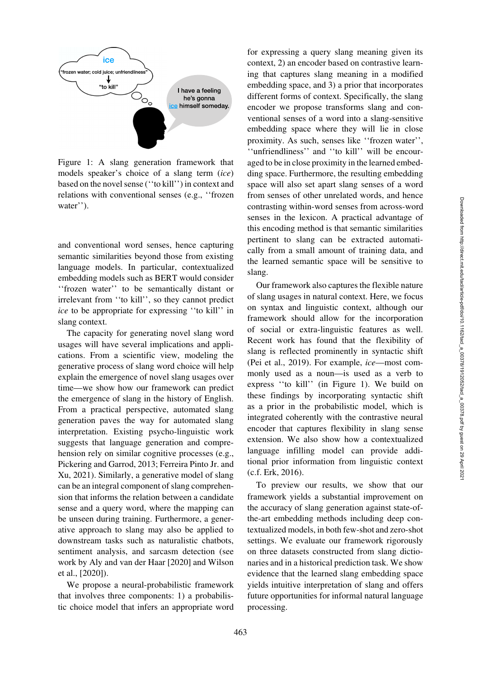<span id="page-1-0"></span>

Figure 1: A slang generation framework that models speaker's choice of a slang term (*ice*) based on the novel sense (''to kill'') in context and relations with conventional senses (e.g., ''frozen water'').

and conventional word senses, hence capturing semantic similarities beyond those from existing language models. In particular, contextualized embedding models such as BERT would consider ''frozen water'' to be semantically distant or irrelevant from ''to kill'', so they cannot predict *ice* to be appropriate for expressing ''to kill'' in slang context.

The capacity for generating novel slang word usages will have several implications and applications. From a scientific view, modeling the generative process of slang word choice will help explain the emergence of novel slang usages over time—we show how our framework can predict the emergence of slang in the history of English. From a practical perspective, automated slang generation paves the way for automated slang interpretation. Existing psycho-linguistic work suggests that language generation and comprehension rely on similar cognitive processes (e.g., [Pickering and Garrod](#page-15-1)[,](#page-13-2) [2013](#page-15-1)[;](#page-13-2) Ferreira Pinto Jr. and Xu, [2021](#page-13-2)). Similarly, a generative model of slang can be an integral component of slang comprehension that informs the relation between a candidate sense and a query word, where the mapping can be unseen during training. Furthermore, a generative approach to slang may also be applied to downstream tasks such as naturalistic chatbots, sentiment analysis, and sarcasm detection (see work by [Aly and van der Haar](#page-12-0) [\[2020\]](#page-12-0) and Wilson et al., [\[2020\]](#page-16-0)).

We propose a neural-probabilistic framework that involves three components: 1) a probabilistic choice model that infers an appropriate word for expressing a query slang meaning given its context, 2) an encoder based on contrastive learning that captures slang meaning in a modified embedding space, and 3) a prior that incorporates different forms of context. Specifically, the slang encoder we propose transforms slang and conventional senses of a word into a slang-sensitive embedding space where they will lie in close proximity. As such, senses like ''frozen water'', ''unfriendliness'' and ''to kill'' will be encouraged to be in close proximity in the learned embedding space. Furthermore, the resulting embedding space will also set apart slang senses of a word from senses of other unrelated words, and hence contrasting within-word senses from across-word senses in the lexicon. A practical advantage of this encoding method is that semantic similarities pertinent to slang can be extracted automatically from a small amount of training data, and the learned semantic space will be sensitive to slang.

Our framework also captures the flexible nature of slang usages in natural context. Here, we focus on syntax and linguistic context, although our framework should allow for the incorporation of social or extra-linguistic features as well. Recent work has found that the flexibility of slang is reflected prominently in syntactic shift [\(Pei et al.](#page-15-2), [2019](#page-15-2)). For example, *ice*—most commonly used as a noun—is used as a verb to express ''to kill'' (in [Figure 1\)](#page-1-0). We build on these findings by incorporating syntactic shift as a prior in the probabilistic model, which is integrated coherently with the contrastive neural encoder that captures flexibility in slang sense extension. We also show how a contextualized language infilling model can provide additional prior information from linguistic context (c.f. [Erk, 2016](#page-13-3)).

To preview our results, we show that our framework yields a substantial improvement on the accuracy of slang generation against state-ofthe-art embedding methods including deep contextualized models, in both few-shot and zero-shot settings. We evaluate our framework rigorously on three datasets constructed from slang dictionaries and in a historical prediction task. We show evidence that the learned slang embedding space yields intuitive interpretation of slang and offers future opportunities for informal natural language processing.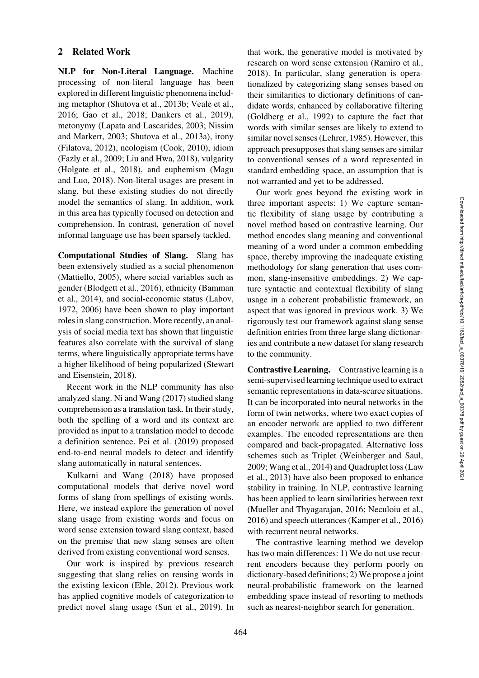# 2 Related Work

NLP for Non-Literal Language. Machine processing of non-literal language has been explored in different linguistic phenomena including metaphor [\(Shutova et al., 2013b](#page-15-3); [Veale et al.,](#page-15-4) [2016](#page-15-4); [Gao et al., 2018;](#page-13-4) [Dankers et al., 2019\)](#page-13-5), metonymy [\(Lapata and Lascarides](#page-14-2)[,](#page-15-5) [2003](#page-14-2)[;](#page-15-5) Nissim and Markert, [2003](#page-15-5); [Shutova et al., 2013a](#page-15-6)), irony [\(Filatova, 2012](#page-13-6)), neologism [\(Cook, 2010\)](#page-13-7), idiom [\(Fazly et al., 2009](#page-13-8); [Liu and Hwa](#page-14-3), [2018\)](#page-14-3), vulgarity [\(Holgate et al., 2018](#page-13-9)[\), and euphemism \(](#page-14-4)Magu and Luo, [2018\)](#page-14-4). Non-literal usages are present in slang, but these existing studies do not directly model the semantics of slang. In addition, work in this area has typically focused on detection and comprehension. In contrast, generation of novel informal language use has been sparsely tackled.

Computational Studies of Slang. Slang has been extensively studied as a social phenomenon [\(Mattiello, 2005](#page-14-5)), where social variables such as gend[er](#page-12-2) [\(Blodgett et al., 2016](#page-12-1)[\), ethnicity \(](#page-12-2)Bamman et al., [2014](#page-12-2)), and social-economic status [\(Labov,](#page-14-6) [1972](#page-14-6), [2006\)](#page-14-7) have been shown to play important roles in slang construction. More recently, an analysis of social media text has shown that linguistic features also correlate with the survival of slang terms, where linguistically appropriate terms have a higher likeli[hood of being popularized \(](#page-15-7)Stewart and Eisenstein, [2018](#page-15-7)).

Recent work in the NLP community has also analyzed slang. [Ni and Wang \(2017](#page-15-8)) studied slang comprehension as a translation task. In their study, both the spelling of a word and its context are provided as input to a translation model to decode a definition sentence. [Pei et al. \(2019\)](#page-15-2) proposed end-to-end neural models to detect and identify slang automatically in natural sentences.

Kulkarni and Wang [\(2018](#page-14-8)) have proposed computational models that derive novel word forms of slang from spellings of existing words. Here, we instead explore the generation of novel slang usage from existing words and focus on word sense extension toward slang context, based on the premise that new slang senses are often derived from existing conventional word senses.

Our work is inspired by previous research suggesting that slang relies on reusing words in the existing lexicon [\(Eble](#page-13-10), [2012\)](#page-13-10). Previous work has applied cognitive models of categorization to predict novel slang usage [\(Sun et al.](#page-15-9), [2019](#page-15-9)). In that work, the generative model is motivated by research on word sense extension [\(Ramiro et al.,](#page-15-10) [2018](#page-15-10)). In particular, slang generation is operationalized by categorizing slang senses based on their similarities to dictionary definitions of candidate words, enhanced by collaborative filtering [\(Goldberg et al., 1992](#page-13-11)) to capture the fact that words with similar senses are likely to extend to similar novel senses [\(Lehrer, 1985](#page-14-9)). However, this approach presupposes that slang senses are similar to conventional senses of a word represented in standard embedding space, an assumption that is not warranted and yet to be addressed.

Our work goes beyond the existing work in three important aspects: 1) We capture semantic flexibility of slang usage by contributing a novel method based on contrastive learning. Our method encodes slang meaning and conventional meaning of a word under a common embedding space, thereby improving the inadequate existing methodology for slang generation that uses common, slang-insensitive embeddings. 2) We capture syntactic and contextual flexibility of slang usage in a coherent probabilistic framework, an aspect that was ignored in previous work. 3) We rigorously test our framework against slang sense definition entries from three large slang dictionaries and contribute a new dataset for slang research to the community.

Contrastive Learning. Contrastive learning is a semi-supervised learning technique used to extract semantic representations in data-scarce situations. It can be incorporated into neural networks in the form of twin networks, where two exact copies of an encoder network are applied to two different examples. The encoded representations are then compared and back-propagated. Alternative loss schemes such as Triplet [\(Weinberger and Saul,](#page-16-1) [2009](#page-16-1)[;](#page-14-10) [Wang et al.](#page-16-2)[,](#page-14-10) [2014](#page-16-2)[\) and Quadruplet loss \(](#page-14-10)Law et al., [2013](#page-14-10)) have also been proposed to enhance stability in training. In NLP, contrastive learning has been applied to learn similarities between text [\(Mueller and Thyagarajan](#page-14-11), [2016](#page-14-11); [Neculoiu et al.,](#page-14-12) [2016](#page-14-12)) and speech utterances [\(Kamper et al., 2016](#page-13-12)) with recurrent neural networks.

The contrastive learning method we develop has two main differences: 1) We do not use recurrent encoders because they perform poorly on dictionary-based definitions; 2) We propose a joint neural-probabilistic framework on the learned embedding space instead of resorting to methods such as nearest-neighbor search for generation.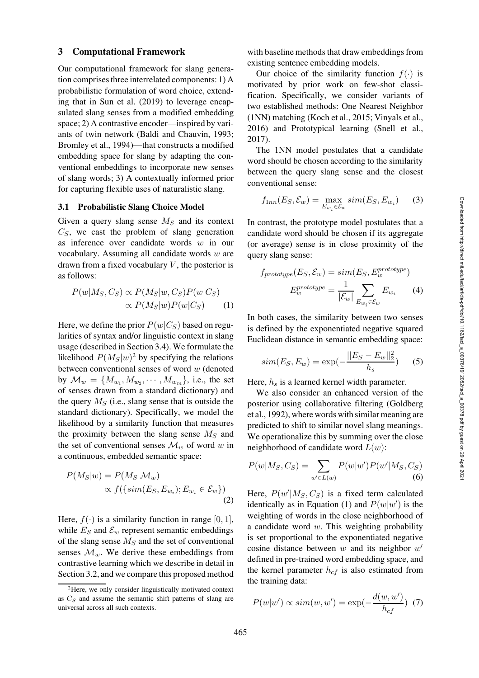#### 3 Computational Framework

Our computational framework for slang generation comprises three interrelated components: 1) A probabilistic formulation of word choice, extending that in [Sun et al.](#page-15-9) [\(2019\)](#page-15-9) to leverage encapsulated slang senses from a modified embedding space; 2) A contrastive encoder—inspired by variants of twin network [\(Baldi and Chauvin, 1993](#page-12-3); [Bromley et al.](#page-12-4), [1994](#page-12-4))—that constructs a modified embedding space for slang by adapting the conventional embeddings to incorporate new senses of slang words; 3) A contextually informed prior for capturing flexible uses of naturalistic slang.

### 3.1 Probabilistic Slang Choice Model

Given a query slang sense  $M<sub>S</sub>$  and its context  $C<sub>S</sub>$ , we cast the problem of slang generation as inference over candidate words w in our vocabulary. Assuming all candidate words w are drawn from a fixed vocabulary  $V$ , the posterior is as follows:

$$
P(w|M_S, C_S) \propto P(M_S|w, C_S)P(w|C_S)
$$
  
 
$$
\propto P(M_S|w)P(w|C_S)
$$
 (1)

Here, we define the prior  $P(w|C<sub>S</sub>)$  based on regularities of syntax and/or linguistic context in slang usage (described in [Section 3.4\)](#page-4-0). We formulate the likelihood  $P(M_S|w)^2$  $P(M_S|w)^2$  by specifying the relations between conventional senses of word  $w$  (denoted by  $\mathcal{M}_w = \{M_{w_1}, M_{w_2}, \cdots, M_{w_m}\},$  i.e., the set of senses drawn from a standard dictionary) and the query  $M<sub>S</sub>$  (i.e., slang sense that is outside the standard dictionary). Specifically, we model the likelihood by a similarity function that measures the proximity between the slang sense  $M<sub>S</sub>$  and the set of conventional senses  $\mathcal{M}_w$  of word w in a continuous, embedded semantic space:

$$
P(M_S|w) = P(M_S|M_w)
$$
  
 
$$
\propto f(\{sim(E_S, E_{w_i}); E_{w_i} \in \mathcal{E}_w\})
$$
 (2)

Here,  $f(\cdot)$  is a similarity function in range [0, 1], while  $E_S$  and  $\mathcal{E}_w$  represent semantic embeddings of the slang sense  $M<sub>S</sub>$  and the set of conventional senses  $\mathcal{M}_w$ . We derive these embeddings from contrastive learning which we describe in detail in [Section 3.2,](#page-4-1) and we compare this proposed method

with baseline methods that draw embeddings from existing sentence embedding models.

Our choice of the similarity function  $f(\cdot)$  is motivated by prior work on few-shot classification. Specifically, we consider variants of two established methods: One Nearest Neighbor (1NN) matching [\(Koch et al., 2015;](#page-14-13) [Vinyals et al.,](#page-16-3) [2016](#page-16-3)) and Prototypical learning [\(Snell et al.,](#page-15-11) [2017](#page-15-11)).

The 1NN model postulates that a candidate word should be chosen according to the similarity between the query slang sense and the closest conventional sense:

$$
f_{1nn}(E_S, \mathcal{E}_w) = \max_{E_{w_i} \in \mathcal{E}_w} sim(E_S, E_{w_i}) \qquad (3)
$$

In contrast, the prototype model postulates that a candidate word should be chosen if its aggregate (or average) sense is in close proximity of the query slang sense:

$$
f_{prototype}(E_S, \mathcal{E}_w) = sim(E_S, E_w^{prototype})
$$

$$
E_w^{prototype} = \frac{1}{|\mathcal{E}_w|} \sum_{E_{w_i} \in \mathcal{E}_w} E_{w_i}
$$
(4)

<span id="page-3-1"></span>In both cases, the similarity between two senses is defined by the exponentiated negative squared Euclidean distance in semantic embedding space:

$$
sim(E_S, E_w) = \exp(-\frac{||E_S - E_w||_2^2}{h_s})
$$
 (5)

Here,  $h_s$  is a learned kernel width parameter.

We also consider an enhanced version of the post[erior using collaborative filtering \(](#page-13-11)Goldberg et al., [1992](#page-13-11)), where words with similar meaning are predicted to shift to similar novel slang meanings. We operationalize this by summing over the close neighborhood of candidate word  $L(w)$ :

$$
P(w|M_S, C_S) = \sum_{w' \in L(w)} P(w|w')P(w'|M_S, C_S)
$$
\n(6)

Here,  $P(w'|M_S, C_S)$  is a fixed term calculated identically as in Equation [\(1\)](#page-3-1) and  $P(w|w')$  is the weighting of words in the close neighborhood of a candidate word  $w$ . This weighting probability is set proportional to the exponentiated negative cosine distance between  $w$  and its neighbor  $w'$ defined in pre-trained word embedding space, and the kernel parameter  $h_{cf}$  is also estimated from the training data:

<span id="page-3-2"></span>
$$
P(w|w') \propto sim(w, w') = \exp(-\frac{d(w, w')}{h_{cf}}) \tag{7}
$$

<span id="page-3-0"></span><sup>2</sup>Here, we only consider linguistically motivated context as  $C<sub>S</sub>$  and assume the semantic shift patterns of slang are universal across all such contexts.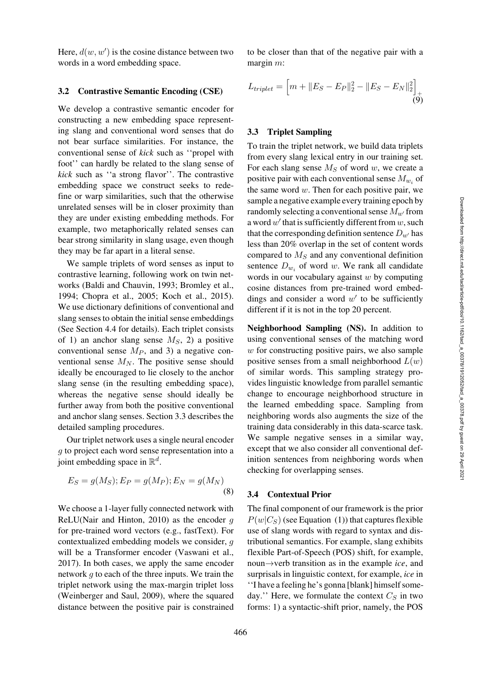Here,  $d(w, w')$  is the cosine distance between two words in a word embedding space.

#### <span id="page-4-1"></span>3.2 Contrastive Semantic Encoding (CSE)

We develop a contrastive semantic encoder for constructing a new embedding space representing slang and conventional word senses that do not bear surface similarities. For instance, the conventional sense of *kick* such as ''propel with foot'' can hardly be related to the slang sense of *kick* such as ''a strong flavor''. The contrastive embedding space we construct seeks to redefine or warp similarities, such that the otherwise unrelated senses will be in closer proximity than they are under existing embedding methods. For example, two metaphorically related senses can bear strong similarity in slang usage, even though they may be far apart in a literal sense.

We sample triplets of word senses as input to contrastive learning, following work on twin networks [\(Baldi and Chauvin](#page-12-3), [1993;](#page-12-3) [Bromley et al.,](#page-12-4) [1994](#page-12-4); [Chopra et al.](#page-12-5), [2005](#page-12-5); [Koch et al.](#page-14-13), [2015\)](#page-14-13). We use dictionary definitions of conventional and slang senses to obtain the initial sense embeddings (See [Section 4.4](#page-6-0) for details). Each triplet consists of 1) an anchor slang sense  $M<sub>S</sub>$ , 2) a positive conventional sense  $M_P$ , and 3) a negative conventional sense  $M_N$ . The positive sense should ideally be encouraged to lie closely to the anchor slang sense (in the resulting embedding space), whereas the negative sense should ideally be further away from both the positive conventional and anchor slang senses. [Section 3.3](#page-4-2) describes the detailed sampling procedures.

Our triplet network uses a single neural encoder g to project each word sense representation into a joint embedding space in  $\mathbb{R}^d$ .

$$
E_S = g(M_S); E_P = g(M_P); E_N = g(M_N)
$$
\n(8)

We choose a 1-layer fully connected network with ReLU[\(Nair and Hinton](#page-14-14), [2010](#page-14-14)) as the encoder  $g$ for pre-trained word vectors (e.g., fastText). For contextualized embedding models we consider, g will be a Transformer encoder [\(Vaswani et al.,](#page-15-12) [2017](#page-15-12)). In both cases, we apply the same encoder network g to each of the three inputs. We train the triplet network using the max-margin triplet loss [\(Weinberger and Saul](#page-16-1), [2009\)](#page-16-1), where the squared distance between the positive pair is constrained to be closer than that of the negative pair with a margin  $m$ :

$$
L_{triplet} = \left[ m + \|E_S - E_P\|_2^2 - \|E_S - E_N\|_2^2 \right]_+ \tag{9}
$$

## <span id="page-4-2"></span>3.3 Triplet Sampling

To train the triplet network, we build data triplets from every slang lexical entry in our training set. For each slang sense  $M<sub>S</sub>$  of word w, we create a positive pair with each conventional sense  $M_{w_i}$  of the same word  $w$ . Then for each positive pair, we sample a negative example every training epoch by randomly selecting a conventional sense  $M_{w'}$  from a word  $w'$  that is sufficiently different from  $w$ , such that the corresponding definition sentence  $D_{w'}$  has less than 20% overlap in the set of content words compared to  $M<sub>S</sub>$  and any conventional definition sentence  $D_{w_i}$  of word w. We rank all candidate words in our vocabulary against  $w$  by computing cosine distances from pre-trained word embeddings and consider a word  $w'$  to be sufficiently different if it is not in the top 20 percent.

Neighborhood Sampling (NS). In addition to using conventional senses of the matching word  $w$  for constructing positive pairs, we also sample positive senses from a small neighborhood  $L(w)$ of similar words. This sampling strategy provides linguistic knowledge from parallel semantic change to encourage neighborhood structure in the learned embedding space. Sampling from neighboring words also augments the size of the training data considerably in this data-scarce task. We sample negative senses in a similar way, except that we also consider all conventional definition sentences from neighboring words when checking for overlapping senses.

#### <span id="page-4-0"></span>3.4 Contextual Prior

The final component of our framework is the prior  $P(w|C_S)$  (see Equation [\(1\)](#page-3-1)) that captures flexible use of slang words with regard to syntax and distributional semantics. For example, slang exhibits flexible Part-of-Speech (POS) shift, for example, noun→verb transition as in the example *ice*, and surprisals in linguistic context, for example, *ice* in ''I have a feeling he's gonna [blank] himself someday." Here, we formulate the context  $C_S$  in two forms: 1) a syntactic-shift prior, namely, the POS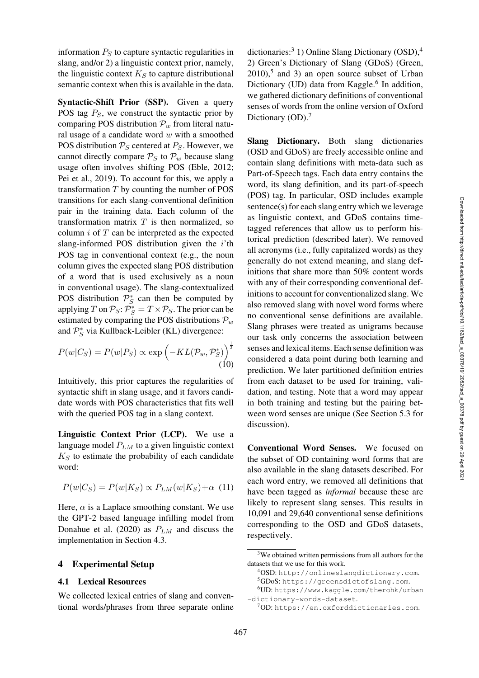information  $P<sub>S</sub>$  to capture syntactic regularities in slang, and/or 2) a linguistic context prior, namely, the linguistic context  $K<sub>S</sub>$  to capture distributional semantic context when this is available in the data.

Syntactic-Shift Prior (SSP). Given a query POS tag  $P_S$ , we construct the syntactic prior by comparing POS distribution  $\mathcal{P}_w$  from literal natural usage of a candidate word  $w$  with a smoothed POS distribution  $P_S$  centered at  $P_S$ . However, we cannot directly compare  $P_S$  to  $P_w$  because slang usage often involves shifting POS [\(Eble, 2012](#page-13-10); [Pei et al., 2019\)](#page-15-2). To account for this, we apply a transformation  $T$  by counting the number of POS transitions for each slang-conventional definition pair in the training data. Each column of the transformation matrix  $T$  is then normalized, so column  $i$  of  $T$  can be interpreted as the expected slang-informed POS distribution given the  $i$ <sup>th</sup> POS tag in conventional context (e.g., the noun column gives the expected slang POS distribution of a word that is used exclusively as a noun in conventional usage). The slang-contextualized POS distribution  $\mathcal{P}_S^*$  can then be computed by applying T on  $\mathcal{P}_S$ :  $\mathcal{P}_S^* = T \times \mathcal{P}_S$ . The prior can be estimated by comparing the POS distributions  $P_w$ and  $\mathcal{P}_S^*$  via Kullback-Leibler (KL) divergence:

$$
P(w|C_S) = P(w|P_S) \propto \exp\left(-KL(\mathcal{P}_w, \mathcal{P}_S^*)\right)^{\frac{1}{2}}
$$
\n(10)

Intuitively, this prior captures the regularities of syntactic shift in slang usage, and it favors candidate words with POS characteristics that fits well with the queried POS tag in a slang context.

Linguistic Context Prior (LCP). We use a language model  $P_{LM}$  to a given linguistic context  $K<sub>S</sub>$  to estimate the probability of each candidate word:

$$
P(w|C_S) = P(w|K_S) \propto P_{LM}(w|K_S) + \alpha
$$
 (11)

Here,  $\alpha$  is a Laplace smoothing constant. We use the GPT-2 based language infilling model from [Donahue et al. \(2020](#page-13-1)) as  $P_{LM}$  and discuss the implementation in [Section 4.3.](#page-6-1)

#### 4 Experimental Setup

### 4.1 Lexical Resources

We collected lexical entries of slang and conventional words/phrases from three separate online dictionaries:<sup>[3](#page-5-0)</sup> 1) Online Slang Dictionary  $(OSD)$ ,<sup>[4](#page-5-1)</sup> 2) Green's Dictionary of Slang (GDoS) [\(Green,](#page-13-13)  $2010$ ,<sup>[5](#page-5-2)</sup> and 3) an open source subset of Urban Dictionary (UD) data from Kaggle.<sup>[6](#page-5-3)</sup> In addition, we gathered dictionary definitions of conventional senses of words from the online version of Oxford Dictionary (OD).<sup>[7](#page-5-4)</sup>

Slang Dictionary. Both slang dictionaries (OSD and GDoS) are freely accessible online and contain slang definitions with meta-data such as Part-of-Speech tags. Each data entry contains the word, its slang definition, and its part-of-speech (POS) tag. In particular, OSD includes example sentence(s) for each slang entry which we leverage as linguistic context, and GDoS contains timetagged references that allow us to perform historical prediction (described later). We removed all acronyms (i.e., fully capitalized words) as they generally do not extend meaning, and slang definitions that share more than 50% content words with any of their corresponding conventional definitions to account for conventionalized slang. We also removed slang with novel word forms where no conventional sense definitions are available. Slang phrases were treated as unigrams because our task only concerns the association between senses and lexical items. Each sense definition was considered a data point during both learning and prediction. We later partitioned definition entries from each dataset to be used for training, validation, and testing. Note that a word may appear in both training and testing but the pairing between word senses are unique (See [Section 5.3](#page-9-0) for discussion).

Conventional Word Senses. We focused on the subset of OD containing word forms that are also available in the slang datasets described. For each word entry, we removed all definitions that have been tagged as *informal* because these are likely to represent slang senses. This results in 10,091 and 29,640 conventional sense definitions corresponding to the OSD and GDoS datasets, respectively.

<sup>3</sup>We obtained written permissions from all authors for the datasets that we use for this work.

<span id="page-5-0"></span><sup>4</sup>OSD: <http://onlineslangdictionary.com>. 5GDoS: <https://greensdictofslang.com>.

<span id="page-5-2"></span><span id="page-5-1"></span><sup>6</sup>UD: [https://www.kaggle.com/therohk/urban](https://www.kaggle.com/therohk/urban-dictionary-words-dataset)

[<sup>-</sup>dictionary-words-dataset](https://www.kaggle.com/therohk/urban-dictionary-words-dataset).

<span id="page-5-4"></span><span id="page-5-3"></span> $7$ OD: <https://en.oxforddictionaries.com>.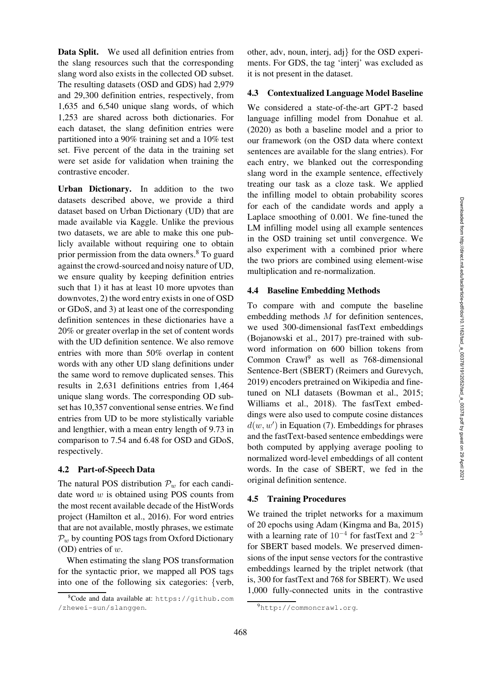Data Split. We used all definition entries from the slang resources such that the corresponding slang word also exists in the collected OD subset. The resulting datasets (OSD and GDS) had 2,979 and 29,300 definition entries, respectively, from 1,635 and 6,540 unique slang words, of which 1,253 are shared across both dictionaries. For each dataset, the slang definition entries were partitioned into a 90% training set and a 10% test set. Five percent of the data in the training set were set aside for validation when training the contrastive encoder.

Urban Dictionary. In addition to the two datasets described above, we provide a third dataset based on Urban Dictionary (UD) that are made available via Kaggle. Unlike the previous two datasets, we are able to make this one publicly available without requiring one to obtain prior permission from the data owners.[8](#page-6-2) To guard against the crowd-sourced and noisy nature of UD, we ensure quality by keeping definition entries such that 1) it has at least 10 more upvotes than downvotes, 2) the word entry exists in one of OSD or GDoS, and 3) at least one of the corresponding definition sentences in these dictionaries have a 20% or greater overlap in the set of content words with the UD definition sentence. We also remove entries with more than 50% overlap in content words with any other UD slang definitions under the same word to remove duplicated senses. This results in 2,631 definitions entries from 1,464 unique slang words. The corresponding OD subset has 10,357 conventional sense entries. We find entries from UD to be more stylistically variable and lengthier, with a mean entry length of 9.73 in comparison to 7.54 and 6.48 for OSD and GDoS, respectively.

#### 4.2 Part-of-Speech Data

The natural POS distribution  $\mathcal{P}_w$  for each candidate word  $w$  is obtained using POS counts from the most recent available decade of the HistWords project [\(Hamilton et al.](#page-13-14), [2016\)](#page-13-14). For word entries that are not available, mostly phrases, we estimate  $P_w$  by counting POS tags from Oxford Dictionary (OD) entries of w.

When estimating the slang POS transformation for the syntactic prior, we mapped all POS tags into one of the following six categories: {verb,

other, adv, noun, interj, adj} for the OSD experiments. For GDS, the tag 'interj' was excluded as it is not present in the dataset.

# <span id="page-6-1"></span>4.3 Contextualized Language Model Baseline

We considered a state-of-the-art GPT-2 based language infilling model from [Donahue et al.](#page-13-1) [\(2020](#page-13-1)) as both a baseline model and a prior to our framework (on the OSD data where context sentences are available for the slang entries). For each entry, we blanked out the corresponding slang word in the example sentence, effectively treating our task as a cloze task. We applied the infilling model to obtain probability scores for each of the candidate words and apply a Laplace smoothing of 0.001. We fine-tuned the LM infilling model using all example sentences in the OSD training set until convergence. We also experiment with a combined prior where the two priors are combined using element-wise multiplication and re-normalization.

#### <span id="page-6-0"></span>4.4 Baseline Embedding Methods

To compare with and compute the baseline embedding methods M for definition sentences, we used 300-dimensional fastText embeddings [\(Bojanowski et al., 2017](#page-12-6)) pre-trained with subword information on 600 billion tokens from Common Crawl<sup>[9](#page-6-3)</sup> as well as 768-dimensional Sentence-Bert (SBERT) [\(Reimers and Gurevych,](#page-15-13) [2019](#page-15-13)) encoders pretrained on Wikipedia and finetuned on NLI datasets [\(Bowman et al.](#page-12-7), [2015;](#page-12-7) [Williams et al.](#page-16-4), [2018](#page-16-4)). The fastText embeddings were also used to compute cosine distances  $d(w, w')$  in Equation [\(7\)](#page-3-2). Embeddings for phrases and the fastText-based sentence embeddings were both computed by applying average pooling to normalized word-level embeddings of all content words. In the case of SBERT, we fed in the original definition sentence.

### 4.5 Training Procedures

We trained the triplet networks for a maximum of 20 epochs using Adam [\(Kingma and Ba, 2015](#page-14-15)) with a learning rate of  $10^{-4}$  for fastText and  $2^{-5}$ for SBERT based models. We preserved dimensions of the input sense vectors for the contrastive embeddings learned by the triplet network (that is, 300 for fastText and 768 for SBERT). We used 1,000 fully-connected units in the contrastive

<span id="page-6-2"></span><sup>8</sup>Code and data available at: [https://github.com](https://github.com/zhewei-sun/slanggen) [/zhewei-sun/slanggen](https://github.com/zhewei-sun/slanggen).

<span id="page-6-3"></span><sup>9</sup><http://commoncrawl.org>.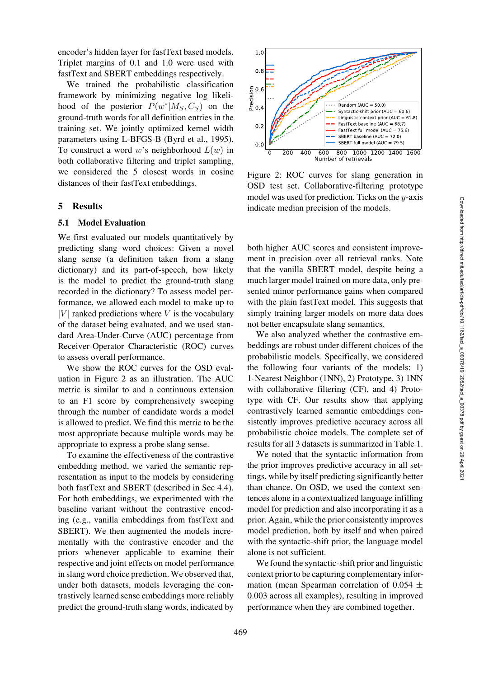encoder's hidden layer for fastText based models. Triplet margins of 0.1 and 1.0 were used with fastText and SBERT embeddings respectively.

We trained the probabilistic classification framework by minimizing negative log likelihood of the posterior  $P(w^*|M_S, C_S)$  on the ground-truth words for all definition entries in the training set. We jointly optimized kernel width parameters using L-BFGS-B [\(Byrd et al.](#page-12-8), [1995\)](#page-12-8). To construct a word w's neighborhood  $L(w)$  in both collaborative filtering and triplet sampling, we considered the 5 closest words in cosine distances of their fastText embeddings.

## 5 Results

#### 5.1 Model Evaluation

We first evaluated our models quantitatively by predicting slang word choices: Given a novel slang sense (a definition taken from a slang dictionary) and its part-of-speech, how likely is the model to predict the ground-truth slang recorded in the dictionary? To assess model performance, we allowed each model to make up to  $|V|$  ranked predictions where V is the vocabulary of the dataset being evaluated, and we used standard Area-Under-Curve (AUC) percentage from Receiver-Operator Characteristic (ROC) curves to assess overall performance.

We show the ROC curves for the OSD evaluation in [Figure 2](#page-7-0) as an illustration. The AUC metric is similar to and a continuous extension to an F1 score by comprehensively sweeping through the number of candidate words a model is allowed to predict. We find this metric to be the most appropriate because multiple words may be appropriate to express a probe slang sense.

To examine the effectiveness of the contrastive embedding method, we varied the semantic representation as input to the models by considering both fastText and SBERT (described in Sec [4.4\)](#page-6-0). For both embeddings, we experimented with the baseline variant without the contrastive encoding (e.g., vanilla embeddings from fastText and SBERT). We then augmented the models incrementally with the contrastive encoder and the priors whenever applicable to examine their respective and joint effects on model performance in slang word choice prediction. We observed that, under both datasets, models leveraging the contrastively learned sense embeddings more reliably predict the ground-truth slang words, indicated by

<span id="page-7-0"></span>

Figure 2: ROC curves for slang generation in OSD test set. Collaborative-filtering prototype model was used for prediction. Ticks on the  $y$ -axis indicate median precision of the models.

both higher AUC scores and consistent improvement in precision over all retrieval ranks. Note that the vanilla SBERT model, despite being a much larger model trained on more data, only presented minor performance gains when compared with the plain fastText model. This suggests that simply training larger models on more data does not better encapsulate slang semantics.

We also analyzed whether the contrastive embeddings are robust under different choices of the probabilistic models. Specifically, we considered the following four variants of the models: 1) 1-Nearest Neighbor (1NN), 2) Prototype, 3) 1NN with collaborative filtering (CF), and 4) Prototype with CF. Our results show that applying contrastively learned semantic embeddings consistently improves predictive accuracy across all probabilistic choice models. The complete set of results for all 3 datasets is summarized in [Table 1.](#page-8-0)

We noted that the syntactic information from the prior improves predictive accuracy in all settings, while by itself predicting significantly better than chance. On OSD, we used the context sentences alone in a contextualized language infilling model for prediction and also incorporating it as a prior. Again, while the prior consistently improves model prediction, both by itself and when paired with the syntactic-shift prior, the language model alone is not sufficient.

We found the syntactic-shift prior and linguistic context prior to be capturing complementary information (mean Spearman correlation of 0.054  $\pm$ 0.003 across all examples), resulting in improved performance when they are combined together.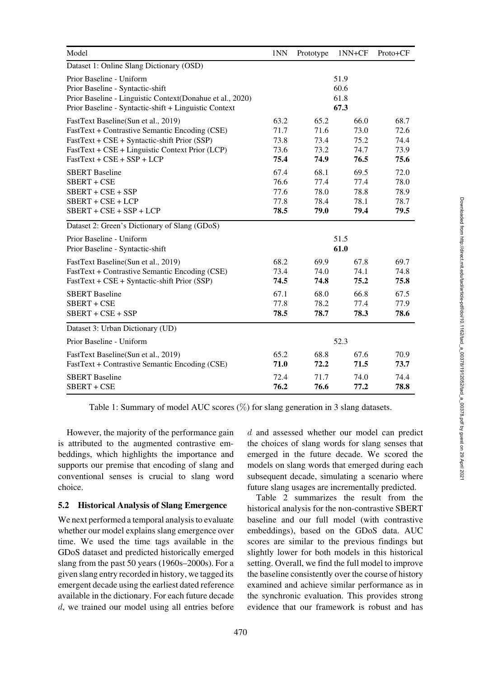<span id="page-8-0"></span>

| Model                                                                                                                                                                              | 1NN  | Prototype | 1NN+CF                       | Proto+CF |
|------------------------------------------------------------------------------------------------------------------------------------------------------------------------------------|------|-----------|------------------------------|----------|
| Dataset 1: Online Slang Dictionary (OSD)                                                                                                                                           |      |           |                              |          |
| Prior Baseline - Uniform<br>Prior Baseline - Syntactic-shift<br>Prior Baseline - Linguistic Context(Donahue et al., 2020)<br>Prior Baseline - Syntactic-shift + Linguistic Context |      |           | 51.9<br>60.6<br>61.8<br>67.3 |          |
| FastText Baseline(Sun et al., 2019)                                                                                                                                                | 63.2 | 65.2      | 66.0                         | 68.7     |
| FastText + Contrastive Semantic Encoding (CSE)                                                                                                                                     | 71.7 | 71.6      | 73.0                         | 72.6     |
| FastText + CSE + Syntactic-shift Prior (SSP)                                                                                                                                       | 73.8 | 73.4      | 75.2                         | 74.4     |
| FastText + CSE + Linguistic Context Prior (LCP)                                                                                                                                    | 73.6 | 73.2      | 74.7                         | 73.9     |
| $FastText + CSE + SSP + LCP$                                                                                                                                                       | 75.4 | 74.9      | 76.5                         | 75.6     |
| <b>SBERT</b> Baseline                                                                                                                                                              | 67.4 | 68.1      | 69.5                         | 72.0     |
| SBERT + CSE                                                                                                                                                                        | 76.6 | 77.4      | 77.4                         | 78.0     |
| $SBERT + CSE + SSP$                                                                                                                                                                | 77.6 | 78.0      | 78.8                         | 78.9     |
| $SBERT + CSE + LCP$                                                                                                                                                                | 77.8 | 78.4      | 78.1                         | 78.7     |
| $SBERT + CSE + SSP + LCP$                                                                                                                                                          | 78.5 | 79.0      | 79.4                         | 79.5     |
| Dataset 2: Green's Dictionary of Slang (GDoS)                                                                                                                                      |      |           |                              |          |
| Prior Baseline - Uniform                                                                                                                                                           | 51.5 |           |                              |          |
| Prior Baseline - Syntactic-shift                                                                                                                                                   | 61.0 |           |                              |          |
| FastText Baseline(Sun et al., 2019)                                                                                                                                                | 68.2 | 69.9      | 67.8                         | 69.7     |
| FastText + Contrastive Semantic Encoding (CSE)                                                                                                                                     | 73.4 | 74.0      | 74.1                         | 74.8     |
| FastText + CSE + Syntactic-shift Prior (SSP)                                                                                                                                       | 74.5 | 74.8      | 75.2                         | 75.8     |
| <b>SBERT</b> Baseline                                                                                                                                                              | 67.1 | 68.0      | 66.8                         | 67.5     |
| SBERT + CSE                                                                                                                                                                        | 77.8 | 78.2      | 77.4                         | 77.9     |
| $SBERT + CSE + SSP$                                                                                                                                                                | 78.5 | 78.7      | 78.3                         | 78.6     |
| Dataset 3: Urban Dictionary (UD)                                                                                                                                                   |      |           |                              |          |
| Prior Baseline - Uniform                                                                                                                                                           | 52.3 |           |                              |          |
| FastText Baseline(Sun et al., 2019)                                                                                                                                                | 65.2 | 68.8      | 67.6                         | 70.9     |
| FastText + Contrastive Semantic Encoding (CSE)                                                                                                                                     | 71.0 | 72.2      | 71.5                         | 73.7     |
| <b>SBERT</b> Baseline                                                                                                                                                              | 72.4 | 71.7      | 74.0                         | 74.4     |
| SBERT + CSE                                                                                                                                                                        | 76.2 | 76.6      | 77.2                         | 78.8     |

Table 1: Summary of model AUC scores (%) for slang generation in 3 slang datasets.

However, the majority of the performance gain is attributed to the augmented contrastive embeddings, which highlights the importance and supports our premise that encoding of slang and conventional senses is crucial to slang word choice.

# 5.2 Historical Analysis of Slang Emergence

We next performed a temporal analysis to evaluate whether our model explains slang emergence over time. We used the time tags available in the GDoS dataset and predicted historically emerged slang from the past 50 years (1960s–2000s). For a given slang entry recorded in history, we tagged its emergent decade using the earliest dated reference available in the dictionary. For each future decade d, we trained our model using all entries before d and assessed whether our model can predict the choices of slang words for slang senses that emerged in the future decade. We scored the models on slang words that emerged during each subsequent decade, simulating a scenario where future slang usages are incrementally predicted.

[Table 2](#page-9-1) summarizes the result from the historical analysis for the non-contrastive SBERT baseline and our full model (with contrastive embeddings), based on the GDoS data. AUC scores are similar to the previous findings but slightly lower for both models in this historical setting. Overall, we find the full model to improve the baseline consistently over the course of history examined and achieve similar performance as in the synchronic evaluation. This provides strong evidence that our framework is robust and has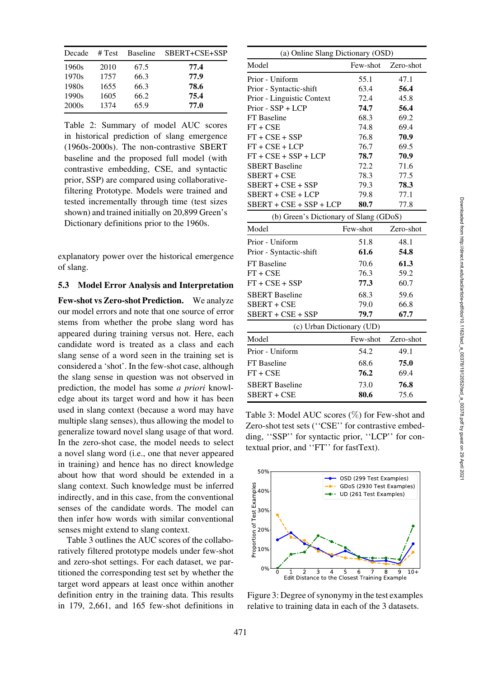<span id="page-9-1"></span>

| Decade | # Test | <b>Baseline</b> | SBERT+CSE+SSP |
|--------|--------|-----------------|---------------|
| 1960s  | 2010   | 67.5            | 77.4          |
| 1970s  | 1757   | 66.3            | 77.9          |
| 1980s  | 1655   | 66.3            | 78.6          |
| 1990s  | 1605   | 66.2            | 75.4          |
| 2000s  | 1374   | 65.9            | 77.0          |

Table 2: Summary of model AUC scores in historical prediction of slang emergence (1960s-2000s). The non-contrastive SBERT baseline and the proposed full model (with contrastive embedding, CSE, and syntactic prior, SSP) are compared using collaborativefiltering Prototype. Models were trained and tested incrementally through time (test sizes shown) and trained initially on 20,899 Green's Dictionary definitions prior to the 1960s.

explanatory power over the historical emergence of slang.

### <span id="page-9-0"></span>5.3 Model Error Analysis and Interpretation

Few-shot vs Zero-shot Prediction. We analyze our model errors and note that one source of error stems from whether the probe slang word has appeared during training versus not. Here, each candidate word is treated as a class and each slang sense of a word seen in the training set is considered a 'shot'. In the few-shot case, although the slang sense in question was not observed in prediction, the model has some *a priori* knowledge about its target word and how it has been used in slang context (because a word may have multiple slang senses), thus allowing the model to generalize toward novel slang usage of that word. In the zero-shot case, the model needs to select a novel slang word (i.e., one that never appeared in training) and hence has no direct knowledge about how that word should be extended in a slang context. Such knowledge must be inferred indirectly, and in this case, from the conventional senses of the candidate words. The model can then infer how words with similar conventional senses might extend to slang context.

[Table 3](#page-9-2) outlines the AUC scores of the collaboratively filtered prototype models under few-shot and zero-shot settings. For each dataset, we partitioned the corresponding test set by whether the target word appears at least once within another definition entry in the training data. This results in 179, 2,661, and 165 few-shot definitions in

<span id="page-9-2"></span>

| (a) Online Slang Dictionary (OSD)      |           |  |  |  |
|----------------------------------------|-----------|--|--|--|
| Few-shot                               | Zero-shot |  |  |  |
| 55.1                                   | 47.1      |  |  |  |
| 63.4                                   | 56.4      |  |  |  |
| 72.4                                   | 45.8      |  |  |  |
| 74.7                                   | 56.4      |  |  |  |
| 68.3                                   | 69.2      |  |  |  |
| 74.8                                   | 69.4      |  |  |  |
| 76.8                                   | 70.9      |  |  |  |
| 76.7                                   | 69.5      |  |  |  |
| 78.7                                   | 70.9      |  |  |  |
| 72.2                                   | 71.6      |  |  |  |
| 78.3                                   | 77.5      |  |  |  |
| 79.3                                   | 78.3      |  |  |  |
| 79.8                                   | 77.1      |  |  |  |
| $SBERT + CSE + SSP + LCP$<br>80.7      | 77.8      |  |  |  |
| (b) Green's Dictionary of Slang (GDoS) |           |  |  |  |
| Few-shot                               | Zero-shot |  |  |  |
| 51.8                                   | 48.1      |  |  |  |
| 61.6                                   | 54.8      |  |  |  |
| 70.6                                   | 61.3      |  |  |  |
| 76.3                                   | 59.2      |  |  |  |
| 77.3                                   | 60.7      |  |  |  |
| 68.3                                   | 59.6      |  |  |  |
| 79.0                                   | 66.8      |  |  |  |
| 79.7                                   | 67.7      |  |  |  |
| (c) Urban Dictionary (UD)              |           |  |  |  |
| Few-shot                               | Zero-shot |  |  |  |
| 54.2                                   | 49.1      |  |  |  |
| 68.6                                   | 75.0      |  |  |  |
| 76.2                                   | 69.4      |  |  |  |
|                                        | 76.8      |  |  |  |
| 80.6                                   | 75.6      |  |  |  |
|                                        | 73.0      |  |  |  |

Table 3: Model AUC scores (%) for Few-shot and Zero-shot test sets ("CSE" for contrastive embedding, ''SSP'' for syntactic prior, ''LCP'' for contextual prior, and ''FT'' for fastText).

<span id="page-9-3"></span>

Figure 3: Degree of synonymy in the test examples relative to training data in each of the 3 datasets.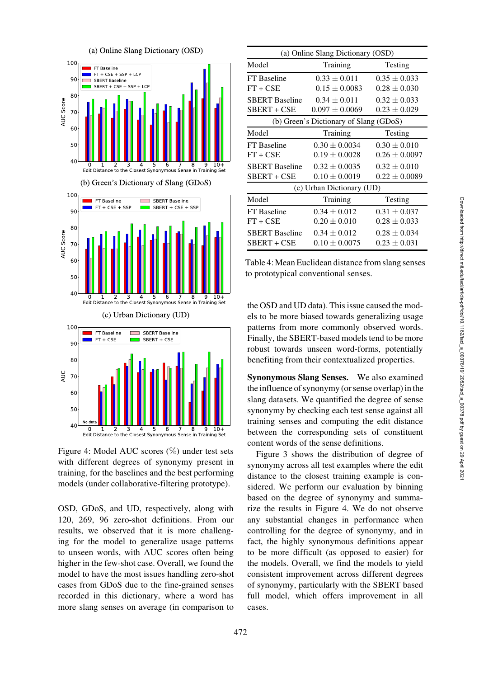<span id="page-10-0"></span>

Figure 4: Model AUC scores (%) under test sets with different degrees of synonymy present in training, for the baselines and the best performing models (under collaborative-filtering prototype).

OSD, GDoS, and UD, respectively, along with 120, 269, 96 zero-shot definitions. From our results, we observed that it is more challenging for the model to generalize usage patterns to unseen words, with AUC scores often being higher in the few-shot case. Overall, we found the model to have the most issues handling zero-shot cases from GDoS due to the fine-grained senses recorded in this dictionary, where a word has more slang senses on average (in comparison to

<span id="page-10-1"></span>

| (a) Online Slang Dictionary (OSD)      |                    |                   |  |  |
|----------------------------------------|--------------------|-------------------|--|--|
| Model                                  | Training           | Testing           |  |  |
| FT Baseline                            | $0.33 \pm 0.011$   | $0.35 \pm 0.033$  |  |  |
| $FT + CSE$                             | $0.15 \pm 0.0083$  | $0.28 \pm 0.030$  |  |  |
| <b>SBERT</b> Baseline                  | $0.34 \pm 0.011$   | $0.32 \pm 0.033$  |  |  |
| SBERT + CSE                            | $0.097 \pm 0.0069$ | $0.23 \pm 0.029$  |  |  |
| (b) Green's Dictionary of Slang (GDoS) |                    |                   |  |  |
| Model                                  | Training           | Testing           |  |  |
| FT Baseline                            | $0.30 \pm 0.0034$  | $0.30 \pm 0.010$  |  |  |
| $FT + CSE$                             | $0.19 \pm 0.0028$  | $0.26 \pm 0.0097$ |  |  |
| <b>SBERT</b> Baseline                  | $0.32 \pm 0.0035$  | $0.32 \pm 0.010$  |  |  |
| SBERT + CSE                            | $0.10 \pm 0.0019$  | $0.22 \pm 0.0089$ |  |  |
| (c) Urban Dictionary (UD)              |                    |                   |  |  |
| Model                                  | Training           | Testing           |  |  |
| FT Baseline                            | $0.34 \pm 0.012$   | $0.31 \pm 0.037$  |  |  |
| $FT + CSE$                             | $0.20 \pm 0.010$   | $0.28 \pm 0.033$  |  |  |
| <b>SBERT</b> Baseline                  | $0.34 \pm 0.012$   | $0.28 \pm 0.034$  |  |  |
| SBERT + CSE                            | $0.10 \pm 0.0075$  | $0.23 \pm 0.031$  |  |  |

Table 4:Mean Euclidean distance from slang senses to prototypical conventional senses.

the OSD and UD data). This issue caused the models to be more biased towards generalizing usage patterns from more commonly observed words. Finally, the SBERT-based models tend to be more robust towards unseen word-forms, potentially benefiting from their contextualized properties.

Synonymous Slang Senses. We also examined the influence of synonymy (or sense overlap) in the slang datasets. We quantified the degree of sense synonymy by checking each test sense against all training senses and computing the edit distance between the corresponding sets of constituent content words of the sense definitions.

[Figure 3](#page-9-3) shows the distribution of degree of synonymy across all test examples where the edit distance to the closest training example is considered. We perform our evaluation by binning based on the degree of synonymy and summarize the results in [Figure 4.](#page-10-0) We do not observe any substantial changes in performance when controlling for the degree of synonymy, and in fact, the highly synonymous definitions appear to be more difficult (as opposed to easier) for the models. Overall, we find the models to yield consistent improvement across different degrees of synonymy, particularly with the SBERT based full model, which offers improvement in all cases.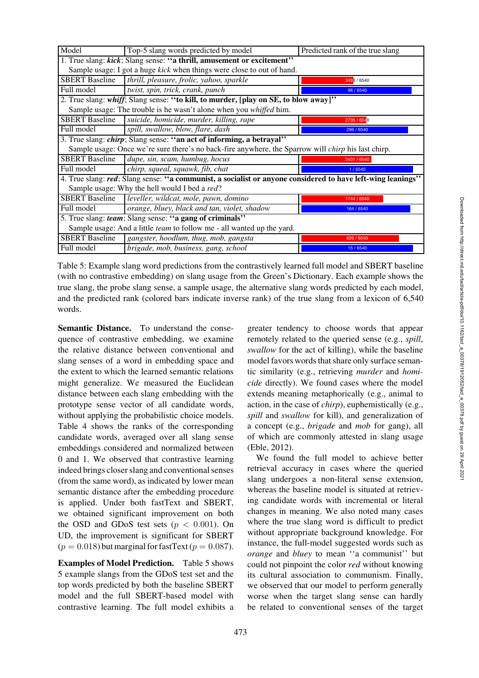<span id="page-11-0"></span>

| Model                                                                                                       | Top-5 slang words predicted by model                                                | Predicted rank of the true slang |  |  |  |
|-------------------------------------------------------------------------------------------------------------|-------------------------------------------------------------------------------------|----------------------------------|--|--|--|
| 1. True slang: kick; Slang sense: "a thrill, amusement or excitement"                                       |                                                                                     |                                  |  |  |  |
|                                                                                                             | Sample usage: I got a huge <i>kick</i> when things were close to out of hand.       |                                  |  |  |  |
| <b>SBERT Baseline</b>                                                                                       | thrill, pleasure, frolic, yahoo, sparkle                                            | 3496 / 6540                      |  |  |  |
| Full model                                                                                                  | twist, spin, trick, crank, punch                                                    | 96 / 6540                        |  |  |  |
|                                                                                                             | 2. True slang: whiff; Slang sense: "to kill, to murder, [play on SE, to blow away]" |                                  |  |  |  |
|                                                                                                             | Sample usage: The trouble is he wasn't alone when you whiffed him.                  |                                  |  |  |  |
| <b>SBERT</b> Baseline                                                                                       | suicide, homicide, murder, killing, rape                                            | 2735 / 6540                      |  |  |  |
| Full model                                                                                                  | spill, swallow, blow, flare, dash                                                   | 296 / 6540                       |  |  |  |
| 3. True slang: <i>chirp</i> ; Slang sense: "an act of informing, a betrayal"                                |                                                                                     |                                  |  |  |  |
| Sample usage: Once we're sure there's no back-fire anywhere, the Sparrow will <i>chirp</i> his last chirp.  |                                                                                     |                                  |  |  |  |
| <b>SBERT Baseline</b>                                                                                       | dupe, sin, scam, humbug, hocus                                                      | 2431 / 6540                      |  |  |  |
| Full model                                                                                                  | chirp, squeal, squawk, fib, chat                                                    | 1/6540                           |  |  |  |
| 4. True slang: red; Slang sense: "a communist, a socialist or anyone considered to have left-wing leanings" |                                                                                     |                                  |  |  |  |
| Sample usage: Why the hell would I bed a red?                                                               |                                                                                     |                                  |  |  |  |
| <b>SBERT Baseline</b>                                                                                       | leveller, wildcat, mole, pawn, domino                                               | 1744 / 6540                      |  |  |  |
| Full model                                                                                                  | orange, bluey, black and tan, violet, shadow                                        | 164 / 6540                       |  |  |  |
| 5. True slang: team; Slang sense: "a gang of criminals"                                                     |                                                                                     |                                  |  |  |  |
| Sample usage: And a little team to follow me - all wanted up the yard.                                      |                                                                                     |                                  |  |  |  |
| <b>SBERT Baseline</b>                                                                                       | gangster, hoodlum, thug, mob, gangsta                                               | 826 / 6540                       |  |  |  |
| Full model                                                                                                  | brigade, mob, business, gang, school                                                | 15/6540                          |  |  |  |

Table 5: Example slang word predictions from the contrastively learned full model and SBERT baseline (with no contrastive embedding) on slang usage from the Green's Dictionary. Each example shows the true slang, the probe slang sense, a sample usage, the alternative slang words predicted by each model, and the predicted rank (colored bars indicate inverse rank) of the true slang from a lexicon of 6,540 words.

Semantic Distance. To understand the consequence of contrastive embedding, we examine the relative distance between conventional and slang senses of a word in embedding space and the extent to which the learned semantic relations might generalize. We measured the Euclidean distance between each slang embedding with the prototype sense vector of all candidate words, without applying the probabilistic choice models. [Table 4](#page-10-1) shows the ranks of the corresponding candidate words, averaged over all slang sense embeddings considered and normalized between 0 and 1. We observed that contrastive learning indeed brings closer slang and conventional senses (from the same word), as indicated by lower mean semantic distance after the embedding procedure is applied. Under both fastText and SBERT, we obtained significant improvement on both the OSD and GDoS test sets ( $p < 0.001$ ). On UD, the improvement is significant for SBERT  $(p = 0.018)$  but marginal for fastText  $(p = 0.087)$ .

Examples of Model Prediction. [Table 5](#page-11-0) shows 5 example slangs from the GDoS test set and the top words predicted by both the baseline SBERT model and the full SBERT-based model with contrastive learning. The full model exhibits a greater tendency to choose words that appear remotely related to the queried sense (e.g., *spill*, *swallow* for the act of killing), while the baseline model favors words that share only surface semantic similarity (e.g., retrieving *murder* and *homicide* directly). We found cases where the model extends meaning metaphorically (e.g., animal to action, in the case of *chirp*), euphemistically (e.g., *spill* and *swallow* for kill), and generalization of a concept (e.g., *brigade* and *mob* for gang), all of which are commonly attested in slang usage [\(Eble](#page-13-10), [2012\)](#page-13-10).

We found the full model to achieve better retrieval accuracy in cases where the queried slang undergoes a non-literal sense extension, whereas the baseline model is situated at retrieving candidate words with incremental or literal changes in meaning. We also noted many cases where the true slang word is difficult to predict without appropriate background knowledge. For instance, the full-model suggested words such as *orange* and *bluey* to mean ''a communist'' but could not pinpoint the color *red* without knowing its cultural association to communism. Finally, we observed that our model to perform generally worse when the target slang sense can hardly be related to conventional senses of the target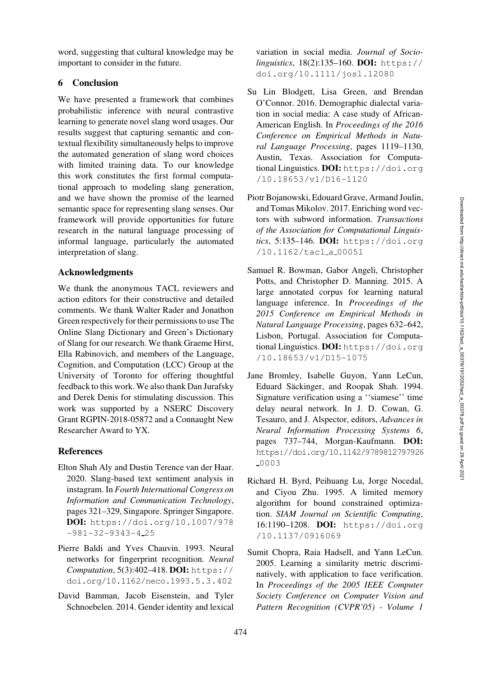word, suggesting that cultural knowledge may be important to consider in the future.

# 6 Conclusion

We have presented a framework that combines probabilistic inference with neural contrastive learning to generate novel slang word usages. Our results suggest that capturing semantic and contextual flexibility simultaneously helps to improve the automated generation of slang word choices with limited training data. To our knowledge this work constitutes the first formal computational approach to modeling slang generation, and we have shown the promise of the learned semantic space for representing slang senses. Our framework will provide opportunities for future research in the natural language processing of informal language, particularly the automated interpretation of slang.

# Acknowledgments

We thank the anonymous TACL reviewers and action editors for their constructive and detailed comments. We thank Walter Rader and Jonathon Green respectively for their permissions to use The Online Slang Dictionary and Green's Dictionary of Slang for our research. We thank Graeme Hirst, Ella Rabinovich, and members of the Language, Cognition, and Computation (LCC) Group at the University of Toronto for offering thoughtful feedback to this work. We also thank Dan Jurafsky and Derek Denis for stimulating discussion. This work was supported by a NSERC Discovery Grant RGPIN-2018-05872 and a Connaught New Researcher Award to YX.

### References

- <span id="page-12-0"></span>Elton Shah Aly and Dustin Terence van der Haar. 2020. Slang-based text sentiment analysis in instagram. In *Fourth International Congress on Information and Communication Technology*, pages 321–329, Singapore. Springer Singapore. DOI: [https://doi.org/10.1007/978](https://doi.org/10.1007/978-981-32-9343-4_25)  $-981-32-9343-425$  $-981-32-9343-425$
- <span id="page-12-3"></span>Pierre Baldi and Yves Chauvin. 1993. Neural networks for fingerprint recognition. *Neural Computation*, 5(3):402–418. DOI: [https://](https://doi.org/10.1162/neco.1993.5.3.402) [doi.org/10.1162/neco.1993.5.3.402](https://doi.org/10.1162/neco.1993.5.3.402)
- <span id="page-12-2"></span>David Bamman, Jacob Eisenstein, and Tyler Schnoebelen. 2014. Gender identity and lexical

variation in social media. *Journal of Sociolinguistics*, 18(2):135–160. DOI: [https://](https://doi.org/10.1111/josl.12080) [doi.org/10.1111/josl.12080](https://doi.org/10.1111/josl.12080)

- <span id="page-12-1"></span>Su Lin Blodgett, Lisa Green, and Brendan O'Connor. 2016. Demographic dialectal variation in social media: A case study of African-American English. In *Proceedings of the 2016 Conference on Empirical Methods in Natural Language Processing*, pages 1119–1130, Austin, Texas. Association for Computational Linguistics. DOI: [https://doi.org](https://doi.org/10.18653/v1/D16-1120) [/10.18653/v1/D16-1120](https://doi.org/10.18653/v1/D16-1120)
- <span id="page-12-6"></span>Piotr Bojanowski, Edouard Grave, Armand Joulin, and Tomas Mikolov. 2017. Enriching word vectors with subword information. *Transactions of the Association for Computational Linguistics*, 5:135–146. DOI: [https://doi.org](https://doi.org/10.1162/tacl_a_00051) [/10.1162/tacl](https://doi.org/10.1162/tacl_a_00051) a 00051
- <span id="page-12-7"></span>Samuel R. Bowman, Gabor Angeli, Christopher Potts, and Christopher D. Manning. 2015. A large annotated corpus for learning natural language inference. In *Proceedings of the 2015 Conference on Empirical Methods in Natural Language Processing*, pages 632–642, Lisbon, Portugal. Association for Computational Linguistics. DOI: [https://doi.org](https://doi.org/10.18653/v1/D15-1075) [/10.18653/v1/D15-1075](https://doi.org/10.18653/v1/D15-1075)
- <span id="page-12-4"></span>Jane Bromley, Isabelle Guyon, Yann LeCun, Eduard Säckinger, and Roopak Shah. 1994. Signature verification using a ''siamese'' time delay neural network. In J. D. Cowan, G. Tesauro, and J. Alspector, editors, *Advances in Neural Information Processing Systems 6*, pages 737–744, Morgan-Kaufmann. DOI: [https://doi.org/10.1142/9789812797926](https://doi.org/10.1142/9789812797926_0003) [0003](https://doi.org/10.1142/9789812797926_0003)
- <span id="page-12-8"></span>Richard H. Byrd, Peihuang Lu, Jorge Nocedal, and Ciyou Zhu. 1995. A limited memory algorithm for bound constrained optimization. *SIAM Journal on Scientific Computing*, 16:1190–1208. DOI: [https://doi.org](https://doi.org/10.1137/0916069) [/10.1137/0916069](https://doi.org/10.1137/0916069)
- <span id="page-12-5"></span>Sumit Chopra, Raia Hadsell, and Yann LeCun. 2005. Learning a similarity metric discriminatively, with application to face verification. In *Proceedings of the 2005 IEEE Computer Society Conference on Computer Vision and Pattern Recognition (CVPR'05) - Volume 1*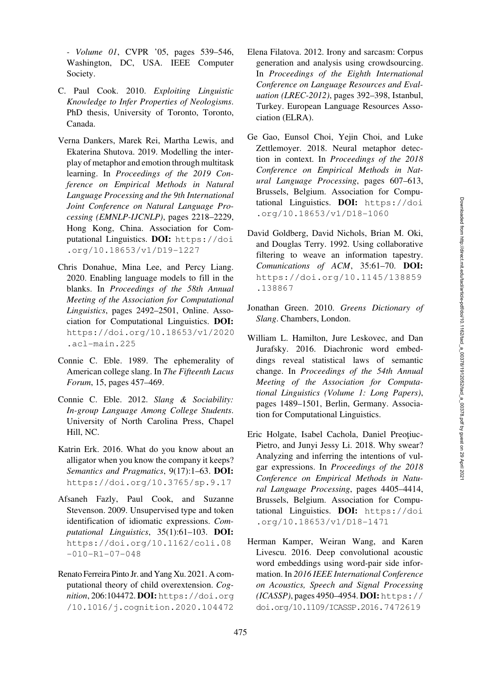*- Volume 01*, CVPR '05, pages 539–546, Washington, DC, USA. IEEE Computer Society.

- <span id="page-13-7"></span>C. Paul Cook. 2010. *Exploiting Linguistic Knowledge to Infer Properties of Neologisms*. PhD thesis, University of Toronto, Toronto, Canada.
- <span id="page-13-5"></span>Verna Dankers, Marek Rei, Martha Lewis, and Ekaterina Shutova. 2019. Modelling the interplay of metaphor and emotion through multitask learning. In *Proceedings of the 2019 Conference on Empirical Methods in Natural Language Processing and the 9th International Joint Conference on Natural Language Processing (EMNLP-IJCNLP)*, pages 2218–2229, Hong Kong, China. Association for Computational Linguistics. DOI: [https://doi](https://doi.org/10.18653/v1/D19-1227) [.org/10.18653/v1/D19-1227](https://doi.org/10.18653/v1/D19-1227)
- <span id="page-13-1"></span>Chris Donahue, Mina Lee, and Percy Liang. 2020. Enabling language models to fill in the blanks. In *Proceedings of the 58th Annual Meeting of the Association for Computational Linguistics*, pages 2492–2501, Online. Association for Computational Linguistics. DOI: [https://doi.org/10.18653/v1/2020](https://doi.org/10.18653/v1/2020.acl-main.225) [.acl-main.225](https://doi.org/10.18653/v1/2020.acl-main.225)
- <span id="page-13-0"></span>Connie C. Eble. 1989. The ephemerality of American college slang. In *The Fifteenth Lacus Forum*, 15, pages 457–469.
- <span id="page-13-10"></span>Connie C. Eble. 2012. *Slang & Sociability: In-group Language Among College Students*. University of North Carolina Press, Chapel Hill, NC.
- <span id="page-13-3"></span>Katrin Erk. 2016. What do you know about an alligator when you know the company it keeps? *Semantics and Pragmatics*, 9(17):1–63. DOI: <https://doi.org/10.3765/sp.9.17>
- <span id="page-13-8"></span>Afsaneh Fazly, Paul Cook, and Suzanne Stevenson. 2009. Unsupervised type and token identification of idiomatic expressions. *Computational Linguistics*, 35(1):61–103. DOI: [https://doi.org/10.1162/coli.08](https://doi.org/10.1162/coli.08-010-R1-07-048)  $-010 - R1 - 07 - 048$
- <span id="page-13-2"></span>Renato Ferreira Pinto Jr. and Yang Xu. 2021. A computational theory of child overextension. *Cognition*, 206:104472. DOI: [https://doi.org](https://doi.org/10.1016/j.cognition.2020.104472) [/10.1016/j.cognition.2020.104472](https://doi.org/10.1016/j.cognition.2020.104472)
- <span id="page-13-6"></span>Elena Filatova. 2012. Irony and sarcasm: Corpus generation and analysis using crowdsourcing. In *Proceedings of the Eighth International Conference on Language Resources and Evaluation (LREC-2012)*, pages 392–398, Istanbul, Turkey. European Language Resources Association (ELRA).
- <span id="page-13-4"></span>Ge Gao, Eunsol Choi, Yejin Choi, and Luke Zettlemoyer. 2018. Neural metaphor detection in context. In *Proceedings of the 2018 Conference on Empirical Methods in Natural Language Processing*, pages 607–613, Brussels, Belgium. Association for Computational Linguistics. DOI: [https://doi](https://doi.org/10.18653/v1/D18-1060) [.org/10.18653/v1/D18-1060](https://doi.org/10.18653/v1/D18-1060)
- <span id="page-13-11"></span>David Goldberg, David Nichols, Brian M. Oki, and Douglas Terry. 1992. Using collaborative filtering to weave an information tapestry. *Comunications of ACM*, 35:61–70. DOI: [https://doi.org/10.1145/138859](https://doi.org/10.1145/138859.138867) [.138867](https://doi.org/10.1145/138859.138867)
- <span id="page-13-13"></span>Jonathan Green. 2010. *Greens Dictionary of Slang*. Chambers, London.
- <span id="page-13-14"></span>William L. Hamilton, Jure Leskovec, and Dan Jurafsky. 2016. Diachronic word embeddings reveal statistical laws of semantic change. In *Proceedings of the 54th Annual Meeting of the Association for Computational Linguistics (Volume 1: Long Papers)*, pages 1489–1501, Berlin, Germany. Association for Computational Linguistics.
- <span id="page-13-9"></span>Eric Holgate, Isabel Cachola, Daniel Preotiuc-Pietro, and Junyi Jessy Li. 2018. Why swear? Analyzing and inferring the intentions of vulgar expressions. In *Proceedings of the 2018 Conference on Empirical Methods in Natural Language Processing*, pages 4405–4414, Brussels, Belgium. Association for Computational Linguistics. DOI: [https://doi](https://doi.org/10.18653/v1/D18-1471) [.org/10.18653/v1/D18-1471](https://doi.org/10.18653/v1/D18-1471)
- <span id="page-13-12"></span>Herman Kamper, Weiran Wang, and Karen Livescu. 2016. Deep convolutional acoustic word embeddings using word-pair side information. In *2016 IEEE International Conference on Acoustics, Speech and Signal Processing (ICASSP)*, pages 4950–4954. DOI: [https://](https://doi.org/10.1109/ICASSP.2016.7472619) [doi.org/10.1109/ICASSP.2016.7472619](https://doi.org/10.1109/ICASSP.2016.7472619)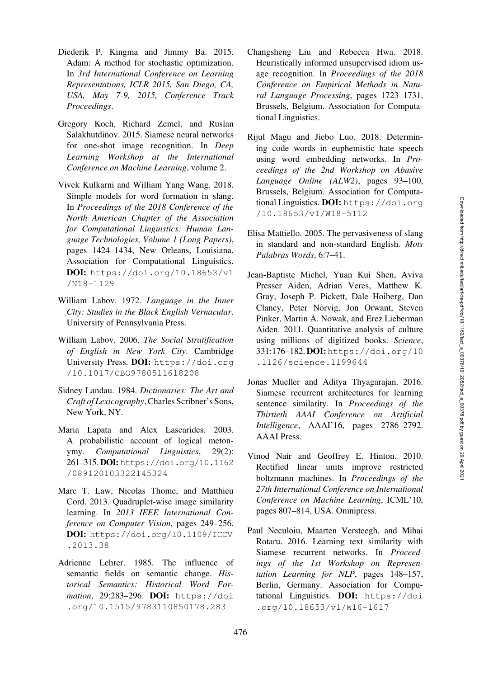- <span id="page-14-15"></span>Diederik P. Kingma and Jimmy Ba. 2015. Adam: A method for stochastic optimization. In *3rd International Conference on Learning Representations, ICLR 2015, San Diego, CA, USA, May 7-9, 2015, Conference Track Proceedings*.
- <span id="page-14-13"></span>Gregory Koch, Richard Zemel, and Ruslan Salakhutdinov. 2015. Siamese neural networks for one-shot image recognition. In *Deep Learning Workshop at the International Conference on Machine Learning*, volume 2.
- <span id="page-14-8"></span>Vivek Kulkarni and William Yang Wang. 2018. Simple models for word formation in slang. In *Proceedings of the 2018 Conference of the North American Chapter of the Association for Computational Linguistics: Human Language Technologies, Volume 1 (Long Papers)*, pages 1424–1434, New Orleans, Louisiana. Association for Computational Linguistics. DOI: [https://doi.org/10.18653/v1](https://doi.org/10.18653/v1/N18-1129) [/N18-1129](https://doi.org/10.18653/v1/N18-1129)
- <span id="page-14-6"></span>William Labov. 1972. *Language in the Inner City: Studies in the Black English Vernacular*. University of Pennsylvania Press.
- <span id="page-14-7"></span>William Labov. 2006. *The Social Stratification of English in New York City*. Cambridge University Press. DOI: [https://doi.org](https://doi.org/10.1017/CBO9780511618208) [/10.1017/CBO9780511618208](https://doi.org/10.1017/CBO9780511618208)
- <span id="page-14-0"></span>Sidney Landau. 1984. *Dictionaries: The Art and Craft of Lexicography*, Charles Scribner's Sons, New York, NY.
- <span id="page-14-2"></span>Maria Lapata and Alex Lascarides. 2003. A probabilistic account of logical metonymy. *Computational Linguistics*, 29(2): 261–315.DOI: [https://doi.org/10.1162](https://doi.org/10.1162/089120103322145324) [/089120103322145324](https://doi.org/10.1162/089120103322145324)
- <span id="page-14-10"></span>Marc T. Law, Nicolas Thome, and Matthieu Cord. 2013. Quadruplet-wise image similarity learning. In *2013 IEEE International Conference on Computer Vision*, pages 249–256. DOI: [https://doi.org/10.1109/ICCV](https://doi.org/10.1109/ICCV.2013.38) [.2013.38](https://doi.org/10.1109/ICCV.2013.38)
- <span id="page-14-9"></span>Adrienne Lehrer. 1985. The influence of semantic fields on semantic change. *Historical Semantics: Historical Word Formation*, 29:283–296. DOI: [https://doi](https://doi.org/10.1515/9783110850178.283) [.org/10.1515/9783110850178.283](https://doi.org/10.1515/9783110850178.283)
- <span id="page-14-3"></span>Changsheng Liu and Rebecca Hwa. 2018. Heuristically informed unsupervised idiom usage recognition. In *Proceedings of the 2018 Conference on Empirical Methods in Natural Language Processing*, pages 1723–1731, Brussels, Belgium. Association for Computational Linguistics.
- <span id="page-14-4"></span>Rijul Magu and Jiebo Luo. 2018. Determining code words in euphemistic hate speech using word embedding networks. In *Proceedings of the 2nd Workshop on Abusive Language Online (ALW2)*, pages 93–100, Brussels, Belgium. Association for Computational Linguistics. DOI: [https://doi.org](https://doi.org/10.18653/v1/W18-5112) [/10.18653/v1/W18-5112](https://doi.org/10.18653/v1/W18-5112)
- <span id="page-14-5"></span>Elisa Mattiello. 2005. The pervasiveness of slang in standard and non-standard English. *Mots Palabras Words*, 6:7–41.
- <span id="page-14-1"></span>Jean-Baptiste Michel, Yuan Kui Shen, Aviva Presser Aiden, Adrian Veres, Matthew K. Gray, Joseph P. Pickett, Dale Hoiberg, Dan Clancy, Peter Norvig, Jon Orwant, Steven Pinker, Martin A. Nowak, and Erez Lieberman Aiden. 2011. Quantitative analysis of culture using millions of digitized books. *Science*, 331:176–182. DOI: [https://doi.org/10](https://doi.org/10.1126/science.1199644) [.1126/science.1199644](https://doi.org/10.1126/science.1199644)
- <span id="page-14-11"></span>Jonas Mueller and Aditya Thyagarajan. 2016. Siamese recurrent architectures for learning sentence similarity. In *Proceedings of the Thirtieth AAAI Conference on Artificial Intelligence*, AAAI'16, pages 2786–2792. AAAI Press.
- <span id="page-14-14"></span>Vinod Nair and Geoffrey E. Hinton. 2010. Rectified linear units improve restricted boltzmann machines. In *Proceedings of the 27th International Conference on International Conference on Machine Learning*, ICML'10, pages 807–814, USA. Omnipress.
- <span id="page-14-12"></span>Paul Neculoiu, Maarten Versteegh, and Mihai Rotaru. 2016. Learning text similarity with Siamese recurrent networks. In *Proceedings of the 1st Workshop on Representation Learning for NLP*, pages 148–157, Berlin, Germany. Association for Computational Linguistics. DOI: [https://doi](https://doi.org/10.18653/v1/W16-1617) [.org/10.18653/v1/W16-1617](https://doi.org/10.18653/v1/W16-1617)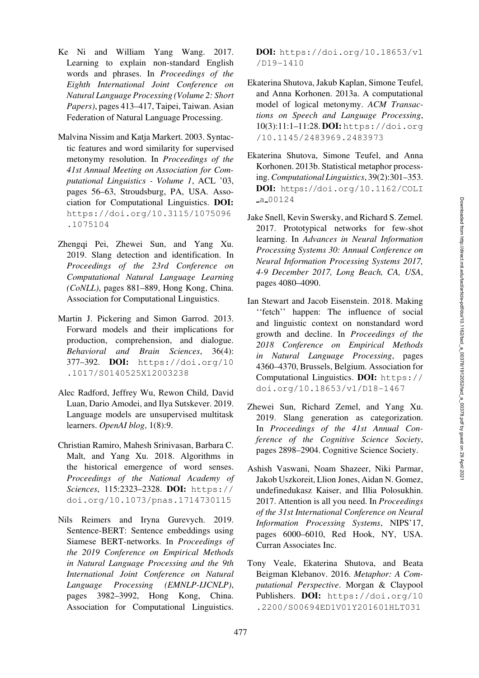- <span id="page-15-8"></span>Ke Ni and William Yang Wang. 2017. Learning to explain non-standard English words and phrases. In *Proceedings of the Eighth International Joint Conference on Natural Language Processing (Volume 2: Short Papers)*, pages 413–417, Taipei, Taiwan. Asian Federation of Natural Language Processing.
- <span id="page-15-5"></span>Malvina Nissim and Katja Markert. 2003. Syntactic features and word similarity for supervised metonymy resolution. In *Proceedings of the 41st Annual Meeting on Association for Computational Linguistics - Volume 1*, ACL '03, pages 56–63, Stroudsburg, PA, USA. Association for Computational Linguistics. DOI: [https://doi.org/10.3115/1075096](https://doi.org/10.3115/1075096.1075104) [.1075104](https://doi.org/10.3115/1075096.1075104)
- <span id="page-15-2"></span>Zhengqi Pei, Zhewei Sun, and Yang Xu. 2019. Slang detection and identification. In *Proceedings of the 23rd Conference on Computational Natural Language Learning (CoNLL)*, pages 881–889, Hong Kong, China. Association for Computational Linguistics.
- <span id="page-15-1"></span>Martin J. Pickering and Simon Garrod. 2013. Forward models and their implications for production, comprehension, and dialogue. *Behavioral and Brain Sciences*, 36(4): 377–392. DOI: [https://doi.org/10](https://doi.org/10.1017/S0140525X12003238) [.1017/S0140525X12003238](https://doi.org/10.1017/S0140525X12003238)
- <span id="page-15-0"></span>Alec Radford, Jeffrey Wu, Rewon Child, David Luan, Dario Amodei, and Ilya Sutskever. 2019. Language models are unsupervised multitask learners. *OpenAI blog*, 1(8):9.
- <span id="page-15-10"></span>Christian Ramiro, Mahesh Srinivasan, Barbara C. Malt, and Yang Xu. 2018. Algorithms in the historical emergence of word senses. *Proceedings of the National Academy of Sciences*, 115:2323–2328. DOI: [https://](https://doi.org/10.1073/pnas.1714730115) [doi.org/10.1073/pnas.1714730115](https://doi.org/10.1073/pnas.1714730115)
- <span id="page-15-13"></span>Nils Reimers and Iryna Gurevych. 2019. Sentence-BERT: Sentence embeddings using Siamese BERT-networks. In *Proceedings of the 2019 Conference on Empirical Methods in Natural Language Processing and the 9th International Joint Conference on Natural Language Processing (EMNLP-IJCNLP)*, pages 3982–3992, Hong Kong, China. Association for Computational Linguistics.

DOI: [https://doi.org/10.18653/v1](https://doi.org/10.18653/v1/D19-1410) [/D19-1410](https://doi.org/10.18653/v1/D19-1410)

- <span id="page-15-6"></span>Ekaterina Shutova, Jakub Kaplan, Simone Teufel, and Anna Korhonen. 2013a. A computational model of logical metonymy. *ACM Transactions on Speech and Language Processing*, 10(3):11:1–11:28. DOI: [https://doi.org](https://doi.org/10.1145/2483969.2483973) [/10.1145/2483969.2483973](https://doi.org/10.1145/2483969.2483973)
- <span id="page-15-3"></span>Ekaterina Shutova, Simone Teufel, and Anna Korhonen. 2013b. Statistical metaphor processing.*Computational Linguistics*, 39(2):301–353. DOI: [https://doi.org/10.1162/COLI](https://doi.org/10.1162/COLI_a_00124)  $-a - 00124$  $-a - 00124$
- <span id="page-15-11"></span>Jake Snell, Kevin Swersky, and Richard S. Zemel. 2017. Prototypical networks for few-shot learning. In *Advances in Neural Information Processing Systems 30: Annual Conference on Neural Information Processing Systems 2017, 4-9 December 2017, Long Beach, CA, USA*, pages 4080–4090.
- <span id="page-15-7"></span>Ian Stewart and Jacob Eisenstein. 2018. Making ''fetch'' happen: The influence of social and linguistic context on nonstandard word growth and decline. In *Proceedings of the 2018 Conference on Empirical Methods in Natural Language Processing*, pages 4360–4370, Brussels, Belgium. Association for Computational Linguistics. DOI: [https://](https://doi.org/10.18653/v1/D18-1467) [doi.org/10.18653/v1/D18-1467](https://doi.org/10.18653/v1/D18-1467)
- <span id="page-15-9"></span>Zhewei Sun, Richard Zemel, and Yang Xu. 2019. Slang generation as categorization. In *Proceedings of the 41st Annual Conference of the Cognitive Science Society*, pages 2898–2904. Cognitive Science Society.
- <span id="page-15-12"></span>Ashish Vaswani, Noam Shazeer, Niki Parmar, Jakob Uszkoreit, Llion Jones, Aidan N. Gomez, undefinedukasz Kaiser, and Illia Polosukhin. 2017. Attention is all you need. In *Proceedings of the 31st International Conference on Neural Information Processing Systems*, NIPS'17, pages 6000–6010, Red Hook, NY, USA. Curran Associates Inc.
- <span id="page-15-4"></span>Tony Veale, Ekaterina Shutova, and Beata Beigman Klebanov. 2016. *Metaphor: A Computational Perspective*. Morgan & Claypool Publishers. DOI: [https://doi.org/10](https://doi.org/10.2200/S00694ED1V01Y201601HLT031) [.2200/S00694ED1V01Y201601HLT031](https://doi.org/10.2200/S00694ED1V01Y201601HLT031)